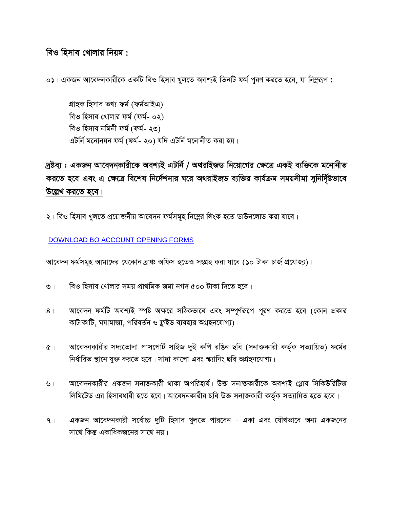বিও হিসাব খোলার নিয়ম :

০১। একজন আবেদনকারীকে একটি বিও হিসাব খুলতে অবশ্যই তিনটি ফর্ম পূরণ করতে হবে, যা নিমুরূপ :

গ্ৰাহক হিসাব তথ্য ফৰ্ম (ফৰ্মআইএ) বিও হিসাব খোলার ফর্ম (ফর্ম- ০২) বিও হিসাব নমিনী ফর্ম (ফর্ম- ২৩) এটর্নি মনোনয়ন ফর্ম (ফর্ম- ২০) যদি এটর্নি মনোনীত করা হয়।

## দ্রষ্টব্য : একজন আবেদনকারীকে অবশ্যই এটর্নি / অথরাইজড নিয়োগের ক্ষেত্রে একই ব্যক্তিকে মনোনীত করতে হবে এবং এ ক্ষেত্রে বিশেষ নির্দেশনার ঘরে অথরাইজড ব্যক্তির কার্যক্রম সময়সীমা সুনির্দিষ্টভাবে উল্লেখ করতে হবে।

২। বিও হিসাব খুলতে প্রয়োজনীয় আবেদন ফর্মসমূহ নিম্নের লিংক হতে ডাউনলোড করা যাবে।

DOWNLOAD BO ACCOUNT OPENING FORMS

আবেদন ফর্মসমূহ আমাদের যেকোন ব্রাঞ্চ অফিস হতেও সংগ্রহ করা যাবে (১০ টাকা চার্জ প্রযোজ্য)।

- বিও হিসাব খোলার সময় প্রাথমিক জমা নগদ ৫০০ টাকা দিতে হবে।  $\overline{O}$  |
- আবেদন ফর্মটি অবশ্যই স্পষ্ট অক্ষরে সঠিকভাবে এবং সম্পূর্ণরূপে পূরণ করতে হবে (কোন প্রকার  $8<sup>1</sup>$ কাটাকাটি, ঘষামাজা, পরিবর্তন ও ফ্লুইড ব্যবহার অগ্রহনযোগ্য)।
- আবেদনকারীর সদ্যতোলা পাসপোর্ট সাইজ দুই কপি রঙিন ছবি (সনাক্তকারী কর্তৃক সত্যায়িত) ফর্মের  $(9)$ নিৰ্ধাৱিত স্থানে যুক্ত করতে হবে। সাদা কালো এবং স্ক্যানিং ছবি অগ্রহনযোগ্য।
- আবেদনকারীর একজন সনাক্তকারী থাকা অপরিহার্য। উক্ত সনাক্তকারীকে অবশ্যই গ্লোব সিকিউরিটিজ ৬। লিমিটেড এর হিসাবধারী হতে হবে। আবেদনকারীর ছবি উক্ত সনাক্তকারী কর্তৃক সত্যায়িত হতে হবে।
- একজন আবেদনকারী সর্বোচ্চ দুটি হিসাব খুলতে পারবেন একা এবং যৌথভাবে অন্য একজনের  $9<sub>1</sub>$ সাথে কিন্ত একাধিকজনের সাথে নয়।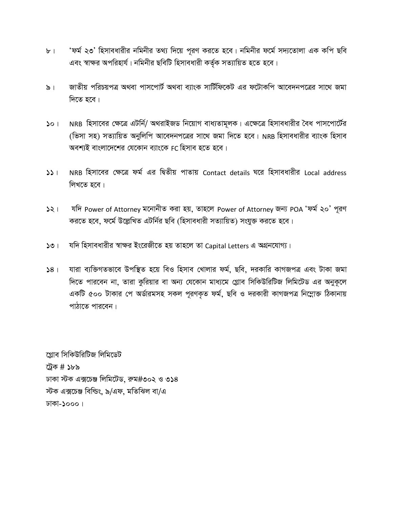- 'ফর্ম ২৩' হিসাবধারীর নমিনীর তথ্য দিয়ে পূরণ করতে হবে। নমিনীর ফর্মে সদ্যতোলা এক কপি ছবি  $b$ <sup>1</sup> এবং স্বাক্ষর অপরিহার্য। নমিনীর ছবিটি হিসাবধারী কর্তৃক সত্যায়িত হতে হবে।
- জাতীয় পরিচয়পত্র অথবা পাসপোর্ট অথবা ব্যাংক সার্টিফিকেট এর ফটোকপি আবেদনপত্রের সাথে জমা  $\delta$ । দিতে হবে।
- NRB হিসাবের ক্ষেত্রে এটর্নি/ অথরাইজড নিয়োগ বাধ্যতামূলক। এক্ষেত্রে হিসাবধারীর বৈধ পাসপোর্টের  $501$ (ভিসা সহ) সত্যায়িত অনুলিপি আবেদনপত্রের সাথে জমা দিতে হবে। NRB হিসাবধারীর ব্যাংক হিসাব অবশ্যই বাংলাদেশের যেকোন ব্যাংকে FC হিসাব হতে হবে।
- NRB হিসাবের ক্ষেত্রে ফর্ম এর দ্বিতীয় পাতায় Contact details ঘরে হিসাবধারীর Local address  $551$ লিখতে হবে।
- যদি Power of Attorney মনোনীত করা হয়, তাহলে Power of Attorney জন্য POA 'ফর্ম ২০' পূরণ  $521$ করতে হবে, ফর্মে উল্লেখিত এটর্নির ছবি (হিসাবধারী সত্যায়িত) সংযুক্ত করতে হবে।
- যদি হিসাবধারীর স্বাক্ষর ইংরেজীতে হয় তাহলে তা Capital Letters এ অগ্রনযোগ্য।  $501$
- যারা ব্যক্তিগতভাবে উপস্থিত হয়ে বিও হিসাব খোলার ফর্ম, ছবি, দরকারি কাগজপত্র এবং টাকা জমা  $58<sub>1</sub>$ দিতে পারবেন না, তারা কুরিয়ার বা অন্য যেকোন মাধ্যমে গ্লোব সিকিউরিটিজ লিমিটেড এর অনুকূলে একটি ৫০০ টাকার পে অর্ডারমসহ সকল পূরণকৃত ফর্ম, ছবি ও দরকারী কাগজপত্র নিম্লোক্ত ঠিকানায় পাঠাতে পারবেন।

গ্লোব সিকিউরিটিজ লিমিডেট ট্রেক # ১৮৯ ঢাকা স্টক এক্সচেঞ্জ লিমিটেড, রুম#৩০২ ও ৩১৪ স্টক এক্সচেঞ্জ বিল্ডিং, ৯/এফ, মতিঝিল বা/এ ঢাকা-১০০০।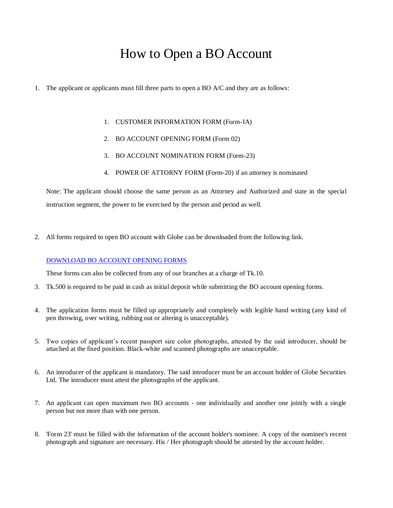## How to Open a BO Account

- 1. The applicant or applicants must fill three parts to open a BO A/C and they are as follows:
	- 1. CUSTOMER INFORMATION FORM (Form-IA)
	- 2. BO ACCOUNT OPENING FORM (Form 02)
	- 3. BO ACCOUNT NOMINATION FORM (Form-23)
	- 4. POWER OF ATTORNY FORM (Form-20) if an attorney is nominated

Note: The applicant should choose the same person as an Attorney and Authorized and state in the special instruction segment, the power to be exercised by the person and period as well.

2. All forms required to open BO account with Globe can be downloaded from the following link.

## [DOWNLOAD BO ACCOUNT OPENING FORMS](http://globedse.com/download/BO-account-opening-form.pdf)

These forms can also be collected from any of our branches at a charge of Tk.10.

- 3. Tk.500 is required to be paid in cash as initial deposit while submitting the BO account opening forms.
- 4. The application forms must be filled up appropriately and completely with legible hand writing (any kind of pen throwing, over writing, rubbing out or altering is unacceptable).
- 5. Two copies of applicant's recent passport size color photographs, attested by the said introducer, should be attached at the fixed position. Black-white and scanned photographs are unacceptable.
- 6. An introducer of the applicant is mandatory. The said introducer must be an account holder of Globe Securities Ltd. The introducer must attest the photographs of the applicant.
- 7. An applicant can open maximum two BO accounts one individually and another one jointly with a single person but not more than with one person.
- 8. 'Form 23' must be filled with the information of the account holder's nominee. A copy of the nominee's recent photograph and signature are necessary. His / Her photograph should be attested by the account holder.